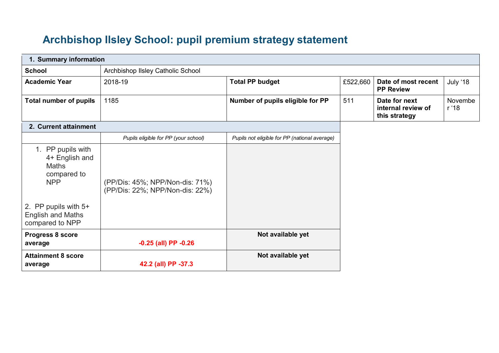## **Archbishop Ilsley School: pupil premium strategy statement**

| 1. Summary information                                                                                                                                  |                                                                    |                                               |          |                                                      |                  |
|---------------------------------------------------------------------------------------------------------------------------------------------------------|--------------------------------------------------------------------|-----------------------------------------------|----------|------------------------------------------------------|------------------|
| <b>School</b>                                                                                                                                           | Archbishop IIsley Catholic School                                  |                                               |          |                                                      |                  |
| <b>Academic Year</b>                                                                                                                                    | 2018-19                                                            | <b>Total PP budget</b>                        | £522,660 | Date of most recent<br><b>PP Review</b>              | July '18         |
| <b>Total number of pupils</b>                                                                                                                           | 1185                                                               | Number of pupils eligible for PP              | 511      | Date for next<br>internal review of<br>this strategy | Novembe<br>r '18 |
| 2. Current attainment                                                                                                                                   |                                                                    |                                               |          |                                                      |                  |
|                                                                                                                                                         | Pupils eligible for PP (your school)                               | Pupils not eligible for PP (national average) |          |                                                      |                  |
| 1. PP pupils with<br>4+ English and<br><b>Maths</b><br>compared to<br><b>NPP</b><br>2. PP pupils with 5+<br><b>English and Maths</b><br>compared to NPP | (PP/Dis: 45%; NPP/Non-dis: 71%)<br>(PP/Dis: 22%; NPP/Non-dis: 22%) |                                               |          |                                                      |                  |
| Progress 8 score                                                                                                                                        |                                                                    | Not available yet                             |          |                                                      |                  |
| average                                                                                                                                                 | $-0.25$ (all) PP $-0.26$                                           |                                               |          |                                                      |                  |
| <b>Attainment 8 score</b><br>average                                                                                                                    | 42.2 (all) PP -37.3                                                | Not available yet                             |          |                                                      |                  |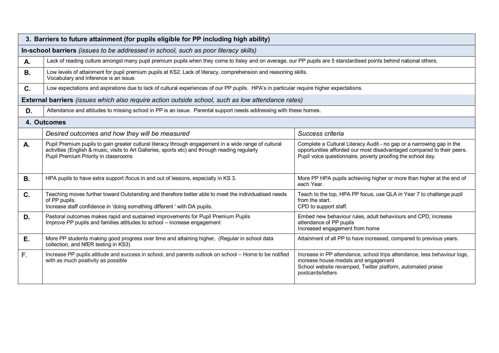|           | 3. Barriers to future attainment (for pupils eligible for PP including high ability)                                                                                                                                                             |                                                                                                                                                                                                                |  |  |  |  |  |
|-----------|--------------------------------------------------------------------------------------------------------------------------------------------------------------------------------------------------------------------------------------------------|----------------------------------------------------------------------------------------------------------------------------------------------------------------------------------------------------------------|--|--|--|--|--|
|           | In-school barriers (issues to be addressed in school, such as poor literacy skills)                                                                                                                                                              |                                                                                                                                                                                                                |  |  |  |  |  |
| Α.        | Lack of reading culture amongst many pupil premium pupils when they come to Ilsley and on average, our PP pupils are 5 standardised points behind national others.                                                                               |                                                                                                                                                                                                                |  |  |  |  |  |
| <b>B.</b> | Low levels of attainment for pupil premium pupils at KS2. Lack of literacy, comprehension and reasoning skills.<br>Vocabulary and inference is an issue.                                                                                         |                                                                                                                                                                                                                |  |  |  |  |  |
| C.        | Low expectations and aspirations due to lack of cultural experiences of our PP pupils. HPA's in particular require higher expectations.                                                                                                          |                                                                                                                                                                                                                |  |  |  |  |  |
|           | External barriers (issues which also require action outside school, such as low attendance rates)                                                                                                                                                |                                                                                                                                                                                                                |  |  |  |  |  |
| D.        | Attendance and attitudes to missing school in PP is an issue. Parental support needs addressing with these homes.                                                                                                                                |                                                                                                                                                                                                                |  |  |  |  |  |
|           | 4. Outcomes                                                                                                                                                                                                                                      |                                                                                                                                                                                                                |  |  |  |  |  |
|           | Desired outcomes and how they will be measured                                                                                                                                                                                                   | Success criteria                                                                                                                                                                                               |  |  |  |  |  |
| Α.        | Pupil Premium pupils to gain greater cultural literacy through engagement in a wide range of cultural<br>activities (English & music, visits to Art Galleries, sports etc) and through reading regularly<br>Pupil Premium Priority in classrooms | Complete a Cultural Literacy Audit - no gap or a narrowing gap in the<br>opportunities afforded our most disadvantaged compared to their peers.<br>Pupil voice questionnaire, poverty proofing the school day. |  |  |  |  |  |
| <b>B.</b> | HPA pupils to have extra support /focus in and out of lessons, especially in KS 3.                                                                                                                                                               | More PP HPA pupils achieving higher or more than higher at the end of<br>each Year.                                                                                                                            |  |  |  |  |  |
| C.        | Teaching moves further toward Outstanding and therefore better able to meet the individualised needs<br>of PP pupils.<br>Increase staff confidence in 'doing something different ' with DA pupils.                                               | Teach to the top, HPA PP focus, use QLA in Year 7 to challenge pupil<br>from the start.<br>CPD to support staff.                                                                                               |  |  |  |  |  |
| D.        | Pastoral outcomes makes rapid and sustained improvements for Pupil Premium Pupils<br>Improve PP pupils and families attitudes to school - increase engagement                                                                                    | Embed new behaviour rules, adult behaviours and CPD, increase<br>attendance of PP pupils<br>Increased engagement from home                                                                                     |  |  |  |  |  |
| Ε.        | More PP students making good progress over time and attaining higher, (Regular in school data<br>collection, and NfER testing in KS3)                                                                                                            | Attainment of all PP to have increased, compared to previous years.                                                                                                                                            |  |  |  |  |  |
| F.        | Increase PP pupils attitude and success in school, and parents outlook on school - Home to be notified<br>with as much positivity as possible                                                                                                    | Increase in PP attendance, school trips attendance, less behaviour logs,<br>increase house medals and engagement<br>School website revamped, Twitter platform, automated praise<br>postcards/letters           |  |  |  |  |  |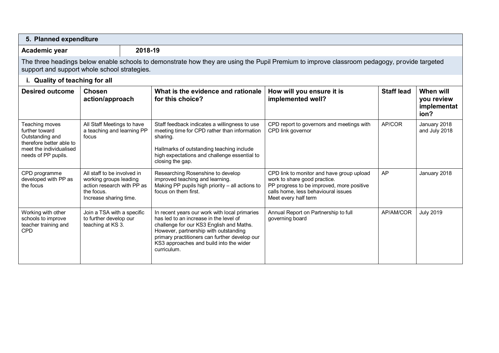| 5. Planned expenditure                                                                                                            |                                                                                                                                                                                             |         |                                                                                                                                                                                                                                                                                         |                                                                                                                                                                                       |                   |                                                |  |
|-----------------------------------------------------------------------------------------------------------------------------------|---------------------------------------------------------------------------------------------------------------------------------------------------------------------------------------------|---------|-----------------------------------------------------------------------------------------------------------------------------------------------------------------------------------------------------------------------------------------------------------------------------------------|---------------------------------------------------------------------------------------------------------------------------------------------------------------------------------------|-------------------|------------------------------------------------|--|
| Academic year                                                                                                                     |                                                                                                                                                                                             | 2018-19 |                                                                                                                                                                                                                                                                                         |                                                                                                                                                                                       |                   |                                                |  |
|                                                                                                                                   | The three headings below enable schools to demonstrate how they are using the Pupil Premium to improve classroom pedagogy, provide targeted<br>support and support whole school strategies. |         |                                                                                                                                                                                                                                                                                         |                                                                                                                                                                                       |                   |                                                |  |
| i. Quality of teaching for all                                                                                                    |                                                                                                                                                                                             |         |                                                                                                                                                                                                                                                                                         |                                                                                                                                                                                       |                   |                                                |  |
| <b>Desired outcome</b>                                                                                                            | <b>Chosen</b><br>action/approach                                                                                                                                                            |         | What is the evidence and rationale<br>for this choice?                                                                                                                                                                                                                                  | How will you ensure it is<br>implemented well?                                                                                                                                        | <b>Staff lead</b> | When will<br>you review<br>implementat<br>ion? |  |
| Teaching moves<br>further toward<br>Outstanding and<br>therefore better able to<br>meet the individualised<br>needs of PP pupils. | All Staff Meetings to have<br>a teaching and learning PP<br>focus                                                                                                                           |         | Staff feedback indicates a willingness to use<br>meeting time for CPD rather than information<br>sharing.<br>Hallmarks of outstanding teaching include<br>high expectations and challenge essential to<br>closing the gap.                                                              | CPD report to governors and meetings with<br>CPD link governor                                                                                                                        | AP/COR            | January 2018<br>and July 2018                  |  |
| CPD programme<br>developed with PP as<br>the focus                                                                                | All staff to be involved in<br>working groups leading<br>action research with PP as<br>the focus.<br>Increase sharing time.                                                                 |         | Researching Rosenshine to develop<br>improved teaching and learning.<br>Making PP pupils high priority - all actions to<br>focus on them first.                                                                                                                                         | CPD link to monitor and have group upload<br>work to share good practice.<br>PP progress to be improved, more positive<br>calls home, less behavioural issues<br>Meet every half term | AP                | January 2018                                   |  |
| Working with other<br>schools to improve<br>teacher training and<br><b>CPD</b>                                                    | Join a TSA with a specific<br>to further develop our<br>teaching at KS 3.                                                                                                                   |         | In recent years our work with local primaries<br>has led to an increase in the level of<br>challenge for our KS3 English and Maths.<br>However, partnership with outstanding<br>primary practitioners can further develop our<br>KS3 approaches and build into the wider<br>curriculum. | Annual Report on Partnership to full<br>governing board                                                                                                                               | AP/AM/COR         | <b>July 2019</b>                               |  |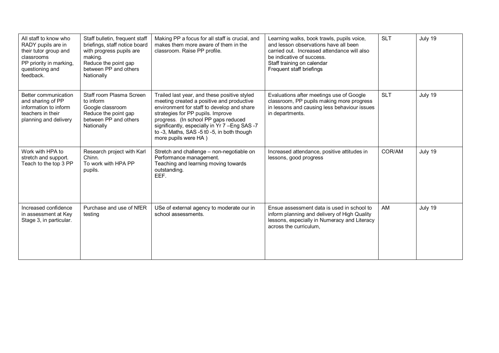| All staff to know who<br>RADY pupils are in<br>their tutor group and<br>classrooms<br>PP priority in marking,<br>questioning and<br>feedback. | Staff bulletin, frequent staff<br>briefings, staff notice board<br>with progress pupils are<br>making.<br>Reduce the point gap<br>between PP and others<br>Nationally | Making PP a focus for all staff is crucial, and<br>makes them more aware of them in the<br>classroom. Raise PP profile.                                                                                                                                                                                                                       | Learning walks, book trawls, pupils voice,<br>and lesson observations have all been<br>carried out. Increased attendance will also<br>be indicative of success.<br>Staff training on calendar<br>Frequent staff briefings | <b>SLT</b> | July 19 |
|-----------------------------------------------------------------------------------------------------------------------------------------------|-----------------------------------------------------------------------------------------------------------------------------------------------------------------------|-----------------------------------------------------------------------------------------------------------------------------------------------------------------------------------------------------------------------------------------------------------------------------------------------------------------------------------------------|---------------------------------------------------------------------------------------------------------------------------------------------------------------------------------------------------------------------------|------------|---------|
| Better communication<br>and sharing of PP<br>information to inform<br>teachers in their<br>planning and delivery                              | Staff room Plasma Screen<br>to inform<br>Google classroom<br>Reduce the point gap<br>between PP and others<br>Nationally                                              | Trailed last year, and these positive styled<br>meeting created a positive and productive<br>environment for staff to develop and share<br>strategies for PP pupils. Improve<br>progress. (In school PP gaps reduced<br>significantly, especially in Yr 7 - Eng SAS - 7<br>to -3, Maths, SAS -5 t0 -5, in both though<br>more pupils were HA) | Evaluations after meetings use of Google<br>classroom, PP pupils making more progress<br>in lessons and causing less behaviour issues<br>in departments.                                                                  | <b>SLT</b> | July 19 |
| Work with HPA to<br>stretch and support.<br>Teach to the top 3 PP                                                                             | Research project with Karl<br>Chinn.<br>To work with HPA PP<br>pupils.                                                                                                | Stretch and challenge - non-negotiable on<br>Performance management.<br>Teaching and learning moving towards<br>outstanding.<br>EEF.                                                                                                                                                                                                          | Increased attendance, positive attitudes in<br>lessons, good progress                                                                                                                                                     | COR/AM     | July 19 |
| Increased confidence<br>in assessment at Key<br>Stage 3, in particular.                                                                       | Purchase and use of NfER<br>testing                                                                                                                                   | USe of external agency to moderate our in<br>school assessments.                                                                                                                                                                                                                                                                              | Ensue assessment data is used in school to<br>inform planning and delivery of High Quality<br>lessons, especially in Numeracy and Literacy<br>across the curriculum,                                                      | AM         | July 19 |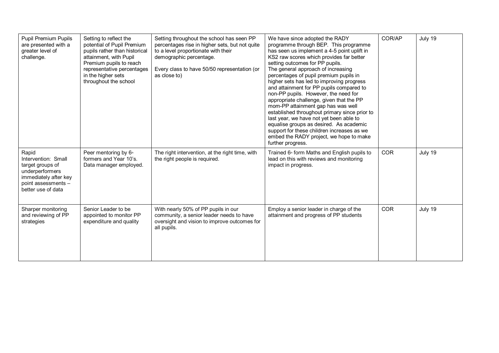| <b>Pupil Premium Pupils</b><br>are presented with a<br>greater level of<br>challenge.                                                     | Setting to reflect the<br>potential of Pupil Premium<br>pupils rather than historical<br>attainment, with Pupil<br>Premium pupils to reach<br>representative percentages<br>in the higher sets<br>throughout the school | Setting throughout the school has seen PP<br>percentages rise in higher sets, but not quite<br>to a level proportionate with their<br>demographic percentage.<br>Every class to have 50/50 representation (or<br>as close to) | We have since adopted the RADY<br>programme through BEP. This programme<br>has seen us implement a 4-5 point uplift in<br>KS2 raw scores which provides far better<br>setting outcomes for PP pupils.<br>The general approach of increasing<br>percentages of pupil premium pupils in<br>higher sets has led to improving progress<br>and attainment for PP pupils compared to<br>non-PP pupils. However, the need for<br>appropriate challenge, given that the PP<br>mom-PP attainment gap has was well<br>established throughout primary since prior to<br>last year, we have not yet been able to<br>equalise groups as desired. As academic<br>support for these children increases as we<br>embed the RADY project, we hope to make<br>further progress. | COR/AP     | July 19 |
|-------------------------------------------------------------------------------------------------------------------------------------------|-------------------------------------------------------------------------------------------------------------------------------------------------------------------------------------------------------------------------|-------------------------------------------------------------------------------------------------------------------------------------------------------------------------------------------------------------------------------|---------------------------------------------------------------------------------------------------------------------------------------------------------------------------------------------------------------------------------------------------------------------------------------------------------------------------------------------------------------------------------------------------------------------------------------------------------------------------------------------------------------------------------------------------------------------------------------------------------------------------------------------------------------------------------------------------------------------------------------------------------------|------------|---------|
| Rapid<br>Intervention: Small<br>target groups of<br>underperformers<br>immediately after key<br>point assessments -<br>better use of data | Peer mentoring by 6 <sup>th</sup><br>formers and Year 10's.<br>Data manager employed.                                                                                                                                   | The right intervention, at the right time, with<br>the right people is required.                                                                                                                                              | Trained 6 <sup>th</sup> form Maths and English pupils to<br>lead on this with reviews and monitoring<br>impact in progress.                                                                                                                                                                                                                                                                                                                                                                                                                                                                                                                                                                                                                                   | <b>COR</b> | July 19 |
| Sharper monitoring<br>and reviewing of PP<br>strategies                                                                                   | Senior Leader to be<br>appointed to monitor PP<br>expenditure and quality                                                                                                                                               | With nearly 50% of PP pupils in our<br>community, a senior leader needs to have<br>oversight and vision to improve outcomes for<br>all pupils.                                                                                | Employ a senior leader in charge of the<br>attainment and progress of PP students                                                                                                                                                                                                                                                                                                                                                                                                                                                                                                                                                                                                                                                                             | <b>COR</b> | July 19 |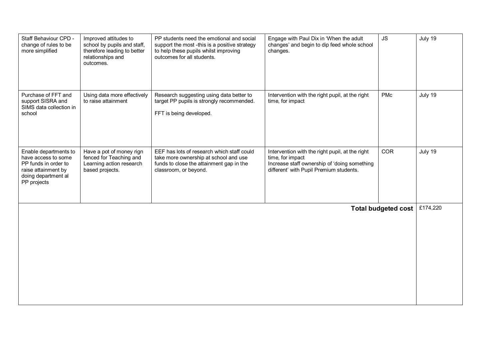| Staff Behaviour CPD -<br>change of rules to be<br>more simplified                                                                 | Improved attitudes to<br>school by pupils and staff,<br>therefore leading to better<br>relationships and<br>outcomes. | PP students need the emotional and social<br>support the most -this is a positive strategy<br>to help these pupils whilst improving<br>outcomes for all students. | Engage with Paul Dix in 'When the adult<br>changes' and begin to dip feed whole school<br>changes.                                                             | <b>JS</b>  | July 19  |
|-----------------------------------------------------------------------------------------------------------------------------------|-----------------------------------------------------------------------------------------------------------------------|-------------------------------------------------------------------------------------------------------------------------------------------------------------------|----------------------------------------------------------------------------------------------------------------------------------------------------------------|------------|----------|
| Purchase of FFT and<br>support SISRA and<br>SIMS data collection in<br>school                                                     | Using data more effectively<br>to raise attainment                                                                    | Research suggesting using data better to<br>target PP pupils is strongly recommended.<br>FFT is being developed.                                                  | Intervention with the right pupil, at the right<br>time, for impact                                                                                            | PMc        | July 19  |
| Enable departments to<br>have access to some<br>PP funds in order to<br>raise attainment by<br>doing department al<br>PP projects | Have a pot of money rign<br>fenced for Teaching and<br>Learning action research<br>based projects.                    | EEF has lots of research which staff could<br>take more ownership at school and use<br>funds to close the attainment gap in the<br>classroom, or beyond.          | Intervention with the right pupil, at the right<br>time, for impact<br>Increase staff ownership of 'doing something<br>different' with Pupil Premium students. | <b>COR</b> | July 19  |
| <b>Total budgeted cost</b>                                                                                                        |                                                                                                                       |                                                                                                                                                                   |                                                                                                                                                                |            | £174,220 |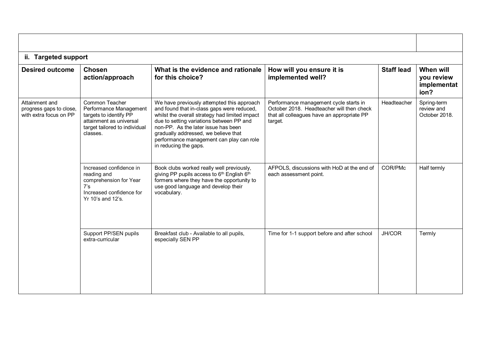| ii. Targeted support                                                |                                                                                                                                            |                                                                                                                                                                                                                                                                                                                                            |                                                                                                                                              |                   |                                                |
|---------------------------------------------------------------------|--------------------------------------------------------------------------------------------------------------------------------------------|--------------------------------------------------------------------------------------------------------------------------------------------------------------------------------------------------------------------------------------------------------------------------------------------------------------------------------------------|----------------------------------------------------------------------------------------------------------------------------------------------|-------------------|------------------------------------------------|
| <b>Desired outcome</b>                                              | <b>Chosen</b><br>action/approach                                                                                                           | What is the evidence and rationale<br>for this choice?                                                                                                                                                                                                                                                                                     | How will you ensure it is<br>implemented well?                                                                                               | <b>Staff lead</b> | When will<br>you review<br>implementat<br>ion? |
| Attainment and<br>progress gaps to close,<br>with extra focus on PP | Common Teacher<br>Performance Management<br>targets to identify PP<br>attainment as universal<br>target tailored to individual<br>classes. | We have previously attempted this approach<br>and found that in-class gaps were reduced,<br>whilst the overall strategy had limited impact<br>due to setting variations between PP and<br>non-PP. As the later issue has been<br>gradually addressed, we believe that<br>performance management can play can role<br>in reducing the gaps. | Performance management cycle starts in<br>October 2018. Headteacher will then check<br>that all colleagues have an appropriate PP<br>target. | Headteacher       | Spring-term<br>review and<br>October 2018.     |
|                                                                     | Increased confidence in<br>reading and<br>comprehension for Year<br>7's<br>Increased confidence for<br>Yr 10's and 12's.                   | Book clubs worked really well previously,<br>giving PP pupils access to $6th$ English $6th$<br>formers where they have the opportunity to<br>use good language and develop their<br>vocabulary.                                                                                                                                            | AFPOLS, discussions with HoD at the end of<br>each assessment point.                                                                         | COR/PMc           | Half termly                                    |
|                                                                     | Support PP/SEN pupils<br>extra-curricular                                                                                                  | Breakfast club - Available to all pupils,<br>especially SEN PP                                                                                                                                                                                                                                                                             | Time for 1-1 support before and after school                                                                                                 | JH/COR            | Termly                                         |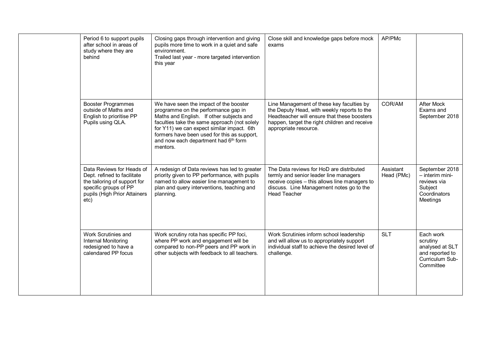| Period 6 to support pupils<br>after school in areas of<br>study where they are<br>behind                                                                  | Closing gaps through intervention and giving<br>pupils more time to work in a quiet and safe<br>environment.<br>Trailed last year - more targeted intervention<br>this year                                                                                                                                                            | Close skill and knowledge gaps before mock<br>exams                                                                                                                                                               | AP/PMc                  |                                                                                             |
|-----------------------------------------------------------------------------------------------------------------------------------------------------------|----------------------------------------------------------------------------------------------------------------------------------------------------------------------------------------------------------------------------------------------------------------------------------------------------------------------------------------|-------------------------------------------------------------------------------------------------------------------------------------------------------------------------------------------------------------------|-------------------------|---------------------------------------------------------------------------------------------|
| <b>Booster Programmes</b><br>outside of Maths and<br>English to prioritise PP<br>Pupils using QLA.                                                        | We have seen the impact of the booster<br>programme on the performance gap in<br>Maths and English. If other subjects and<br>faculties take the same approach (not solely<br>for Y11) we can expect similar impact. 6th<br>formers have been used for this as support,<br>and now each department had 6 <sup>th</sup> form<br>mentors. | Line Management of these key faculties by<br>the Deputy Head, with weekly reports to the<br>Headteacher will ensure that these boosters<br>happen, target the right children and receive<br>appropriate resource. | COR/AM                  | <b>After Mock</b><br>Exams and<br>September 2018                                            |
| Data Reviews for Heads of<br>Dept. refined to facilitate<br>the tailoring of support for<br>specific groups of PP<br>pupils (High Prior Attainers<br>etc) | A redesign of Data reviews has led to greater<br>priority given to PP performance, with pupils<br>named to allow easier line management to<br>plan and query interventions, teaching and<br>planning.                                                                                                                                  | The Data reviews for HoD are distributed<br>termly and senior leader line managers<br>receive copies - this allows line managers to<br>discuss. Line Management notes go to the<br><b>Head Teacher</b>            | Assistant<br>Head (PMc) | September 2018<br>$-$ interim mini-<br>reviews via<br>Subject<br>Coordinators<br>Meetings   |
| Work Scrutinies and<br>Internal Monitoring<br>redesigned to have a<br>calendared PP focus                                                                 | Work scrutiny rota has specific PP foci,<br>where PP work and engagement will be<br>compared to non-PP peers and PP work in<br>other subjects with feedback to all teachers.                                                                                                                                                           | Work Scrutinies inform school leadership<br>and will allow us to appropriately support<br>individual staff to achieve the desired level of<br>challenge.                                                          | <b>SLT</b>              | Each work<br>scrutiny<br>analysed at SLT<br>and reported to<br>Curriculum Sub-<br>Committee |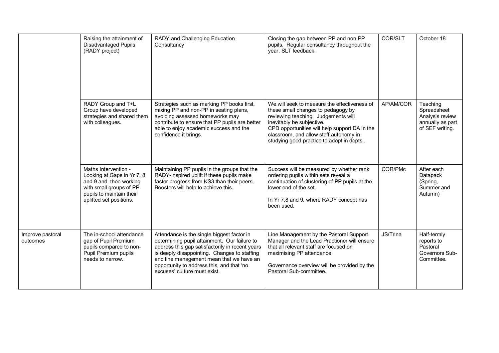|                              | Raising the attainment of<br><b>Disadvantaged Pupils</b><br>(RADY project)                                                                                     | RADY and Challenging Education<br>Consultancy                                                                                                                                                                                                                                                                          | Closing the gap between PP and non PP<br>pupils. Regular consultancy throughout the<br>year, SLT feedback.                                                                                                                                                                                    | COR/SLT   | October 18                                                                        |
|------------------------------|----------------------------------------------------------------------------------------------------------------------------------------------------------------|------------------------------------------------------------------------------------------------------------------------------------------------------------------------------------------------------------------------------------------------------------------------------------------------------------------------|-----------------------------------------------------------------------------------------------------------------------------------------------------------------------------------------------------------------------------------------------------------------------------------------------|-----------|-----------------------------------------------------------------------------------|
|                              | RADY Group and T+L<br>Group have developed<br>strategies and shared them<br>with colleagues.                                                                   | Strategies such as marking PP books first,<br>mixing PP and non-PP in seating plans,<br>avoiding assessed homeworks may<br>contribute to ensure that PP pupils are better<br>able to enjoy academic success and the<br>confidence it brings.                                                                           | We will seek to measure the effectiveness of<br>these small changes to pedagogy by<br>reviewing teaching. Judgements will<br>inevitably be subjective.<br>CPD opportunities will help support DA in the<br>classroom, and allow staff autonomy in<br>studying good practice to adopt in depts | AP/AM/COR | Teaching<br>Spreadsheet<br>Analysis review<br>annually as part<br>of SEF writing. |
|                              | Maths Intervention -<br>Looking at Gaps in Yr 7, 8<br>and 9 and then working<br>with small groups of PP<br>pupils to maintain their<br>uplifted set positions. | Maintaining PP pupils in the groups that the<br>RADY-inspired uplift if these pupils make<br>faster progress from KS3 than their peers.<br>Boosters will help to achieve this.                                                                                                                                         | Success will be measured by whether rank<br>ordering pupils within sets reveal a<br>continuation of clustering of PP pupils at the<br>lower end of the set.<br>In Yr 7,8 and 9, where RADY concept has<br>been used.                                                                          | COR/PMc   | After each<br>Datapack<br>(Spring,<br>Summer and<br>Autumn)                       |
| Improve pastoral<br>outcomes | The in-school attendance<br>gap of Pupil Premium<br>pupils compared to non-<br>Pupil Premium pupils<br>needs to narrow.                                        | Attendance is the single biggest factor in<br>determining pupil attainment. Our failure to<br>address this gap satisfactorily in recent years<br>is deeply disappointing. Changes to staffing<br>and line management mean that we have an<br>opportunity to address this, and that 'no<br>excuses' culture must exist. | Line Management by the Pastoral Support<br>Manager and the Lead Practioner will ensure<br>that all relevant staff are focused on<br>maximising PP attendance.<br>Governance overview will be provided by the<br>Pastoral Sub-committee.                                                       | JS/Trina  | Half-termly<br>reports to<br>Pastoral<br>Governors Sub-<br>Committee.             |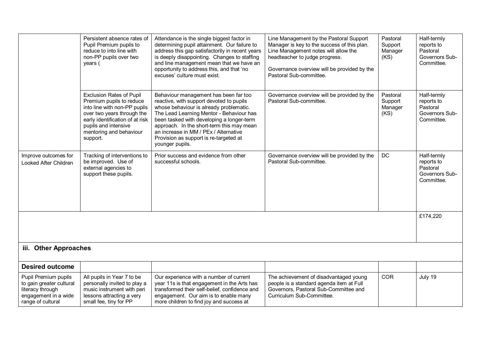|                                                                                                                   | Persistent absence rates of<br>Pupil Premium pupils to<br>reduce to into line with<br>non-PP pupils over two<br>years (                                                                                                     | Attendance is the single biggest factor in<br>determining pupil attainment. Our failure to<br>address this gap satisfactorily in recent years<br>is deeply disappointing. Changes to staffing<br>and line management mean that we have an<br>opportunity to address this, and that 'no<br>excuses' culture must exist.                                                   | Line Management by the Pastoral Support<br>Manager is key to the success of this plan.<br>Line Management notes will allow the<br>headteacher to judge progress.<br>Governance overview will be provided by the<br>Pastoral Sub-committee. | Pastoral<br>Support<br>Manager<br>(KS) | Half-termly<br>reports to<br>Pastoral<br>Governors Sub-<br>Committee. |
|-------------------------------------------------------------------------------------------------------------------|-----------------------------------------------------------------------------------------------------------------------------------------------------------------------------------------------------------------------------|--------------------------------------------------------------------------------------------------------------------------------------------------------------------------------------------------------------------------------------------------------------------------------------------------------------------------------------------------------------------------|--------------------------------------------------------------------------------------------------------------------------------------------------------------------------------------------------------------------------------------------|----------------------------------------|-----------------------------------------------------------------------|
|                                                                                                                   | <b>Exclusion Rates of Pupil</b><br>Premium pupils to reduce<br>into line with non-PP pupils<br>over two years through the<br>early identification of at risk<br>pupils and intensive<br>mentoring and behaviour<br>support. | Behaviour management has been far too<br>reactive, with support devoted to pupils<br>whose behaviour is already problematic.<br>The Lead Learning Mentor - Behaviour has<br>been tasked with developing a longer-term<br>approach. In the short-term this may mean<br>an increase in MM / PEx / Alternative<br>Provision as support is re-targeted at<br>younger pupils. | Governance overview will be provided by the<br>Pastoral Sub-committee.                                                                                                                                                                     | Pastoral<br>Support<br>Manager<br>(KS) | Half-termly<br>reports to<br>Pastoral<br>Governors Sub-<br>Committee. |
| Improve outcomes for<br>Looked After Children                                                                     | Tracking of interventions to<br>be improved. Use of<br>external agencies to<br>support these pupils.                                                                                                                        | Prior success and evidence from other<br>successful schools.                                                                                                                                                                                                                                                                                                             | Governance overview will be provided by the<br>Pastoral Sub-committee.                                                                                                                                                                     | DC                                     | Half-termly<br>reports to<br>Pastoral<br>Governors Sub-<br>Committee. |
|                                                                                                                   |                                                                                                                                                                                                                             |                                                                                                                                                                                                                                                                                                                                                                          |                                                                                                                                                                                                                                            |                                        | £174,220                                                              |
| iii. Other Approaches                                                                                             |                                                                                                                                                                                                                             |                                                                                                                                                                                                                                                                                                                                                                          |                                                                                                                                                                                                                                            |                                        |                                                                       |
| <b>Desired outcome</b>                                                                                            |                                                                                                                                                                                                                             |                                                                                                                                                                                                                                                                                                                                                                          |                                                                                                                                                                                                                                            |                                        |                                                                       |
| Pupil Premium pupils<br>to gain greater cultural<br>literacy through<br>engagement in a wide<br>range of cultural | All pupils in Year 7 to be<br>personally invited to play a<br>music instrument with peri<br>lessons attracting a very<br>small fee, tiny for PP                                                                             | Our experience with a number of current<br>year 11s is that engagement in the Arts has<br>transformed their self-belief, confidence and<br>engagement. Our aim is to enable many<br>more children to find joy and success at                                                                                                                                             | The achievement of disadvantaged young<br>people is a standard agenda item at Full<br>Governors, Pastoral Sub-Committee and<br>Curriculum Sub-Committee.                                                                                   | <b>COR</b>                             | July 19                                                               |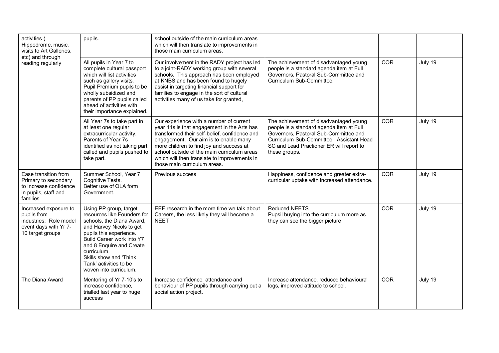| activities (<br>Hippodrome, music,<br>visits to Art Galleries,<br>etc) and through                          | pupils.                                                                                                                                                                                                                                                                                         | school outside of the main curriculum areas<br>which will then translate to improvements in<br>those main curriculum areas.                                                                                                                                                                                                                                 |                                                                                                                                                                                                                                      |            |         |
|-------------------------------------------------------------------------------------------------------------|-------------------------------------------------------------------------------------------------------------------------------------------------------------------------------------------------------------------------------------------------------------------------------------------------|-------------------------------------------------------------------------------------------------------------------------------------------------------------------------------------------------------------------------------------------------------------------------------------------------------------------------------------------------------------|--------------------------------------------------------------------------------------------------------------------------------------------------------------------------------------------------------------------------------------|------------|---------|
| reading regularly                                                                                           | All pupils in Year 7 to<br>complete cultural passport<br>which will list activities<br>such as gallery visits.<br>Pupil Premium pupils to be<br>wholly subsidized and<br>parents of PP pupils called<br>ahead of activities with<br>their importance explained.                                 | Our involvement in the RADY project has led<br>to a joint-RADY working group with several<br>schools. This approach has been employed<br>at KNBS and has been found to hugely<br>assist in targeting financial support for<br>families to engage in the sort of cultural<br>activities many of us take for granted,                                         | The achievement of disadvantaged young<br>people is a standard agenda item at Full<br>Governors, Pastoral Sub-Committee and<br>Curriculum Sub-Committee.                                                                             | <b>COR</b> | July 19 |
|                                                                                                             | All Year 7s to take part in<br>at least one regular<br>extracurricular activity.<br>Parents of Year 7s<br>identified as not taking part<br>called and pupils pushed to<br>take part.                                                                                                            | Our experience with a number of current<br>year 11s is that engagement in the Arts has<br>transformed their self-belief, confidence and<br>engagement. Our aim is to enable many<br>more children to find joy and success at<br>school outside of the main curriculum areas<br>which will then translate to improvements in<br>those main curriculum areas. | The achievement of disadvantaged young<br>people is a standard agenda item at Full<br>Governors, Pastoral Sub-Committee and<br>Curriculum Sub-Committee. Assistant Head<br>SC and Lead Practioner ER will report to<br>these groups. | <b>COR</b> | July 19 |
| Ease transition from<br>Primary to secondary<br>to increase confidence<br>in pupils, staff and<br>families  | Summer School, Year 7<br>Cognitive Tests.<br>Better use of QLA form<br>Government.                                                                                                                                                                                                              | Previous success                                                                                                                                                                                                                                                                                                                                            | Happiness, confidence and greater extra-<br>curricular uptake with increased attendance.                                                                                                                                             | <b>COR</b> | July 19 |
| Increased exposure to<br>pupils from<br>industries: Role model<br>event days with Yr 7-<br>10 target groups | Using PP group, target<br>resources like Founders for<br>schools, the Diana Award,<br>and Harvey Nicols to get<br>pupils this experience.<br>Build Career work into Y7<br>and 8 Enquire and Create<br>curriculum.<br>Skills show and 'Think<br>Tank' activities to be<br>woven into curriculum. | EEF research in the more time we talk about<br>Careers, the less likely they will become a<br><b>NEET</b>                                                                                                                                                                                                                                                   | <b>Reduced NEETS</b><br>Pupsil buying into the curriculum more as<br>they can see the bigger picture                                                                                                                                 | <b>COR</b> | July 19 |
| The Diana Award                                                                                             | Mentoring of Yr 7-10's to<br>increase confidence,<br>trialled last year to huge<br>success                                                                                                                                                                                                      | Increase confidence, attendance and<br>behaviour of PP pupils through carrying out a<br>social action project.                                                                                                                                                                                                                                              | Increase attendance, reduced behavioural<br>logs, improved attitude to school.                                                                                                                                                       | <b>COR</b> | July 19 |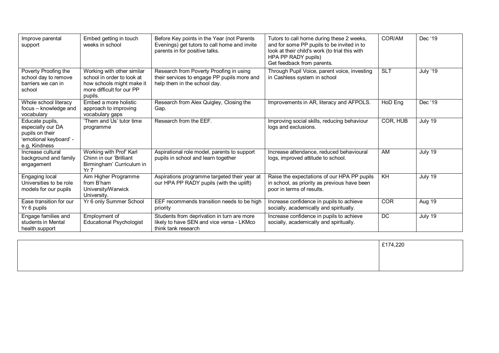| Improve parental<br>support                                                                        | Embed getting in touch<br>weeks in school                                                                                     | Before Key points in the Year (not Parents<br>Evenings) get tutors to call home and invite<br>parents in for positive talks. | Tutors to call home during these 2 weeks,<br>and for some PP pupils to be invited in to<br>look at their child's work (to trial this with<br>HPA PP RADY pupils)<br>Get feedback from parents. | COR/AM     | Dec '19         |
|----------------------------------------------------------------------------------------------------|-------------------------------------------------------------------------------------------------------------------------------|------------------------------------------------------------------------------------------------------------------------------|------------------------------------------------------------------------------------------------------------------------------------------------------------------------------------------------|------------|-----------------|
| Poverty Proofing the<br>school day to remove<br>barriers we can in<br>school                       | Working with other similar<br>school in order to look at<br>how schools might make it<br>more difficult for our PP<br>pupils. | Research from Poverty Proofing in using<br>their services to engage PP pupils more and<br>help them in the school day.       | Through Pupil Voice, parent voice, investing<br>in Cashless system in school                                                                                                                   | <b>SLT</b> | <b>July '19</b> |
| Whole school literacy<br>focus - knowledge and<br>vocabulary                                       | Embed a more holistic<br>approach to improving<br>vocabulary gaps                                                             | Research from Alex Quigley, Closing the<br>Gap.                                                                              | Improvements in AR, literacy and AFPOLS.                                                                                                                                                       | HoD Eng    | Dec '19         |
| Educate pupils,<br>especially our DA<br>pupils on their<br>'emotional keyboard' -<br>e.g. Kindness | 'Them and Us' tutor time<br>programme                                                                                         | Research from the EEF.                                                                                                       | Improving social skills, reducing behaviour<br>logs and exclusions.                                                                                                                            | COR, HUB   | July 19         |
| Increase cultural<br>background and family<br>engagement                                           | Working with Prof' Karl<br>Chinn in our 'Brilliant<br>Birmingham' Curriculum in<br>Yr 7                                       | Aspirational role model, parents to support<br>pupils in school and learn together                                           | Increase attendance, reduced behavioural<br>logs, improved attitude to school.                                                                                                                 | AM         | July 19         |
| Engaging local<br>Universities to be role<br>models for our pupils                                 | Aim Higher Programme<br>from B'ham<br>University/Warwick<br>University.                                                       | Aspirations programme targeted their year at<br>our HPA PP RADY pupils (with the uplift)                                     | Raise the expectations of our HPA PP pupils<br>in school, as priority as previous have been<br>poor in terms of results.                                                                       | KH         | July 19         |
| Ease transition for our<br>Yr 6 pupils                                                             | Yr 6 only Summer School                                                                                                       | EEF recommends transition needs to be high<br>priority                                                                       | Increase confidence in pupils to achieve<br>socially, academically and spiritually.                                                                                                            | <b>COR</b> | Aug 19          |
| Engage families and<br>students in Mental<br>health support                                        | Employment of<br><b>Educational Psychologist</b>                                                                              | Students from deprivation in turn are more<br>likely to have SEN and vice versa - LKMco<br>think tank research               | Increase confidence in pupils to achieve<br>socially, academically and spiritually.                                                                                                            | DC         | July 19         |

| £174,220 |
|----------|
|          |
|          |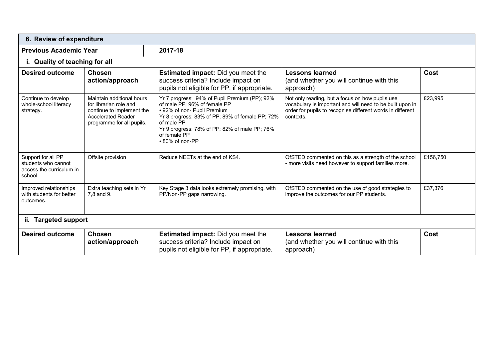| 6. Review of expenditure                                                         |                                                                                                                                            |                                                                                                                                                                                                                                                                   |                                                                                                                                                                                         |          |
|----------------------------------------------------------------------------------|--------------------------------------------------------------------------------------------------------------------------------------------|-------------------------------------------------------------------------------------------------------------------------------------------------------------------------------------------------------------------------------------------------------------------|-----------------------------------------------------------------------------------------------------------------------------------------------------------------------------------------|----------|
| <b>Previous Academic Year</b>                                                    |                                                                                                                                            | 2017-18                                                                                                                                                                                                                                                           |                                                                                                                                                                                         |          |
| i. Quality of teaching for all                                                   |                                                                                                                                            |                                                                                                                                                                                                                                                                   |                                                                                                                                                                                         |          |
| <b>Desired outcome</b>                                                           | <b>Chosen</b><br>action/approach                                                                                                           | <b>Estimated impact:</b> Did you meet the<br>success criteria? Include impact on<br>pupils not eligible for PP, if appropriate.                                                                                                                                   | <b>Lessons learned</b><br>(and whether you will continue with this<br>approach)                                                                                                         | Cost     |
| Continue to develop<br>whole-school literacy<br>strategy.                        | Maintain additional hours<br>for librarian role and<br>continue to implement the<br><b>Accelerated Reader</b><br>programme for all pupils. | Yr 7 progress: 94% of Pupil Premium (PP); 92%<br>of male PP; 96% of female PP<br>• 92% of non- Pupil Premium<br>Yr 8 progress: 83% of PP; 89% of female PP; 72%<br>of male PP<br>Yr 9 progress: 78% of PP; 82% of male PP; 76%<br>of female PP<br>• 80% of non-PP | Not only reading, but a focus on how pupils use<br>vocabulary is important and will need to be built upon in<br>order for pupils to recognise different words in different<br>contexts. | £23,995  |
| Support for all PP<br>students who cannot<br>access the curriculum in<br>school. | Offsite provision                                                                                                                          | Reduce NEETs at the end of KS4.                                                                                                                                                                                                                                   | OfSTED commented on this as a strength of the school<br>- more visits need however to support families more.                                                                            | £156,750 |
| Improved relationships<br>with students for better<br>outcomes.                  | Extra teaching sets in Yr<br>7.8 and 9.                                                                                                    | Key Stage 3 data looks extremely promising, with<br>PP/Non-PP gaps narrowing.                                                                                                                                                                                     | OfSTED commented on the use of good strategies to<br>improve the outcomes for our PP students.                                                                                          | £37,376  |
| ii. Targeted support                                                             |                                                                                                                                            |                                                                                                                                                                                                                                                                   |                                                                                                                                                                                         |          |
| <b>Desired outcome</b>                                                           | <b>Chosen</b><br>action/approach                                                                                                           | <b>Estimated impact:</b> Did you meet the<br>success criteria? Include impact on<br>pupils not eligible for PP, if appropriate.                                                                                                                                   | <b>Lessons learned</b><br>(and whether you will continue with this<br>approach)                                                                                                         | Cost     |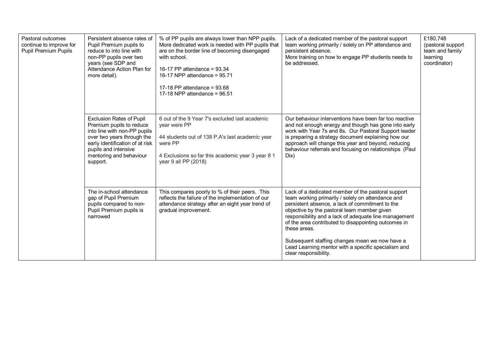| Pastoral outcomes<br>continue to improve for<br><b>Pupil Premium Pupils</b> | Persistent absence rates of<br>Pupil Premium pupils to<br>reduce to into line with<br>non-PP pupils over two<br>years (see SDP and<br>Attendance Action Plan for<br>more detail).                                           | % of PP pupils are always lower than NPP pupils.<br>More dedicated work is needed with PP pupils that<br>are on the border line of becoming disengaged<br>with school.<br>16-17 PP attendance = 93.34<br>16-17 NPP attendance = $95.71$<br>17-18 PP attendance = $93.68$<br>17-18 NPP attendance = $96.51$ | Lack of a dedicated member of the pastoral support<br>team working primarily / solely on PP attendance and<br>persistent absence.<br>More training on how to engage PP students needs to<br>be addressed.                                                                                                                                                                                                                                                                    | £180,748<br>(pastoral support<br>team and family<br>learning<br>coordinator) |
|-----------------------------------------------------------------------------|-----------------------------------------------------------------------------------------------------------------------------------------------------------------------------------------------------------------------------|------------------------------------------------------------------------------------------------------------------------------------------------------------------------------------------------------------------------------------------------------------------------------------------------------------|------------------------------------------------------------------------------------------------------------------------------------------------------------------------------------------------------------------------------------------------------------------------------------------------------------------------------------------------------------------------------------------------------------------------------------------------------------------------------|------------------------------------------------------------------------------|
|                                                                             | <b>Exclusion Rates of Pupil</b><br>Premium pupils to reduce<br>into line with non-PP pupils<br>over two years through the<br>early identification of at risk<br>pupils and intensive<br>mentoring and behaviour<br>support. | 6 out of the 9 Year 7's excluded last academic<br>year were PP<br>44 students out of 138 P.A's last academic year<br>were PP<br>4 Exclusions so far this academic year 3 year 8 1<br>year 9 all PP (2018)                                                                                                  | Our behaviour interventions have been far too reactive<br>and not enough energy and though has gone into early<br>work with Year 7s and 8s. Our Pastoral Support leader<br>is preparing a strategy document explaining how our<br>approach will change this year and beyond, reducing<br>behaviour referrals and focusing on relationships (Paul<br>Dix)                                                                                                                     |                                                                              |
|                                                                             | The in-school attendance<br>gap of Pupil Premium<br>pupils compared to non-<br>Pupil Premium pupils is<br>narrowed                                                                                                          | This compares poorly to % of their peers. This<br>reflects the failure of the implementation of our<br>attendance strategy after an eight year trend of<br>gradual improvement.                                                                                                                            | Lack of a dedicated member of the pastoral support<br>team working primarily / solely on attendance and<br>persistent absence, a lack of commitment to the<br>objective by the pastoral team member given<br>responsibility and a lack of adequate line management<br>of the area contributed to disappointing outcomes in<br>these areas.<br>Subsequent staffing changes mean we now have a<br>Lead Learning mentor with a specific specialism and<br>clear responsibility. |                                                                              |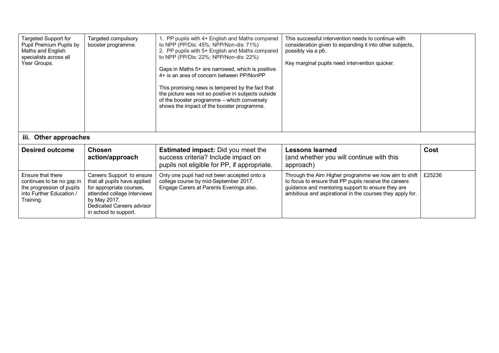| Targeted Support for<br>Pupil Premium Pupils by<br>Maths and English<br>specialists across all<br>Year Groups.       | Targeted compulsory<br>booster programme.                                                                                                                                                  | 1. PP pupils with 4+ English and Maths compared<br>to NPP (PP/Dis: 45%; NPP/Non-dis: 71%)<br>2. PP pupils with 5+ English and Maths compared<br>to NPP (PP/Dis: 22%; NPP/Non-dis: 22%)<br>Gaps in Maths 5+ are narrowed, which is positive.<br>4+ is an area of concern between PP/NonPP<br>This promising news is tempered by the fact that<br>the picture was not so positive in subjects outside<br>of the booster programme - which conversely<br>shows the impact of the booster programme. | This successful intervention needs to continue with<br>consideration given to expanding it into other subjects,<br>possibly via a p6.<br>Key marginal pupils need intervention quicker.                                         |        |
|----------------------------------------------------------------------------------------------------------------------|--------------------------------------------------------------------------------------------------------------------------------------------------------------------------------------------|--------------------------------------------------------------------------------------------------------------------------------------------------------------------------------------------------------------------------------------------------------------------------------------------------------------------------------------------------------------------------------------------------------------------------------------------------------------------------------------------------|---------------------------------------------------------------------------------------------------------------------------------------------------------------------------------------------------------------------------------|--------|
| iii. Other approaches                                                                                                |                                                                                                                                                                                            |                                                                                                                                                                                                                                                                                                                                                                                                                                                                                                  |                                                                                                                                                                                                                                 |        |
| <b>Desired outcome</b>                                                                                               | <b>Chosen</b><br>action/approach                                                                                                                                                           | <b>Estimated impact:</b> Did you meet the<br>success criteria? Include impact on<br>pupils not eligible for PP, if appropriate.                                                                                                                                                                                                                                                                                                                                                                  | <b>Lessons learned</b><br>(and whether you will continue with this<br>approach)                                                                                                                                                 | Cost   |
| Ensure that there<br>continues to be no gap in<br>the progression of pupils<br>into Further Education /<br>Training. | Careers Support to ensure<br>that all pupils have applied<br>for appropriate courses,<br>attended college interviews<br>by May 2017.<br>Dedicated Careers advisor<br>in school to support. | Only one pupil had not been accepted onto a<br>college course by mid-September 2017.<br>Engage Carers at Parents Evenings also.                                                                                                                                                                                                                                                                                                                                                                  | Through the Aim Higher programme we now aim to shift<br>to focus to ensure that PP pupils receive the careers<br>guidance and mentoring support to ensure they are<br>ambitious and aspirational in the courses they apply for. | £25236 |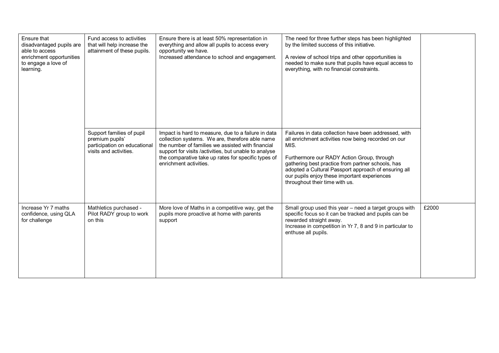| Ensure that<br>disadvantaged pupils are<br>able to access<br>enrichment opportunities<br>to engage a love of<br>learning. | Fund access to activities<br>that will help increase the<br>attainment of these pupils.                | Ensure there is at least 50% representation in<br>everything and allow all pupils to access every<br>opportunity we have.<br>Increased attendance to school and engagement.                                                                                                                           | The need for three further steps has been highlighted<br>by the limited success of this initiative.<br>A review of school trips and other opportunities is<br>needed to make sure that pupils have equal access to<br>everything, with no financial constraints.                                                                                                  |       |
|---------------------------------------------------------------------------------------------------------------------------|--------------------------------------------------------------------------------------------------------|-------------------------------------------------------------------------------------------------------------------------------------------------------------------------------------------------------------------------------------------------------------------------------------------------------|-------------------------------------------------------------------------------------------------------------------------------------------------------------------------------------------------------------------------------------------------------------------------------------------------------------------------------------------------------------------|-------|
|                                                                                                                           | Support families of pupil<br>premium pupils'<br>participation on educational<br>visits and activities. | Impact is hard to measure, due to a failure in data<br>collection systems. We are, therefore able name<br>the number of families we assisted with financial<br>support for visits /activities, but unable to analyse<br>the comparative take up rates for specific types of<br>enrichment activities. | Failures in data collection have been addressed, with<br>all enrichment activities now being recorded on our<br>MIS.<br>Furthermore our RADY Action Group, through<br>gathering best practice from partner schools, has<br>adopted a Cultural Passport approach of ensuring all<br>our pupils enjoy these important experiences<br>throughout their time with us. |       |
| Increase Yr 7 maths<br>confidence, using QLA<br>for challenge                                                             | Mathletics purchased -<br>Pilot RADY group to work<br>on this                                          | More love of Maths in a competitive way, get the<br>pupils more proactive at home with parents<br>support                                                                                                                                                                                             | Small group used this year - need a target groups with<br>specific focus so it can be tracked and pupils can be<br>rewarded straight away.<br>Increase in competition in Yr 7, 8 and 9 in particular to<br>enthuse all pupils.                                                                                                                                    | £2000 |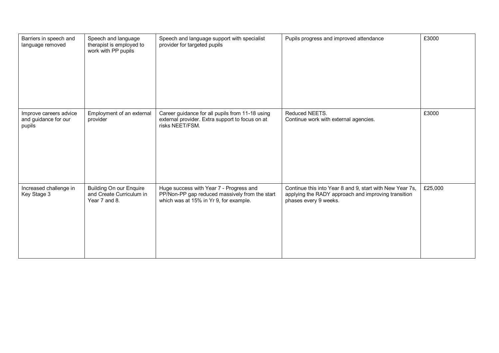| Barriers in speech and<br>language removed               | Speech and language<br>therapist is employed to<br>work with PP pupils      | Speech and language support with specialist<br>provider for targeted pupils                                                         | Pupils progress and improved attendance                                                                                                  | £3000   |
|----------------------------------------------------------|-----------------------------------------------------------------------------|-------------------------------------------------------------------------------------------------------------------------------------|------------------------------------------------------------------------------------------------------------------------------------------|---------|
| Improve careers advice<br>and guidance for our<br>pupils | Employment of an external<br>provider                                       | Career guidance for all pupils from 11-18 using<br>external provider. Extra support to focus on at<br>risks NEET/FSM.               | Reduced NEETS.<br>Continue work with external agencies.                                                                                  | £3000   |
| Increased challenge in<br>Key Stage 3                    | <b>Building On our Enquire</b><br>and Create Curriculum in<br>Year 7 and 8. | Huge success with Year 7 - Progress and<br>PP/Non-PP gap reduced massively from the start<br>which was at 15% in Yr 9, for example. | Continue this into Year 8 and 9, start with New Year 7s,<br>applying the RADY approach and improving transition<br>phases every 9 weeks. | £25,000 |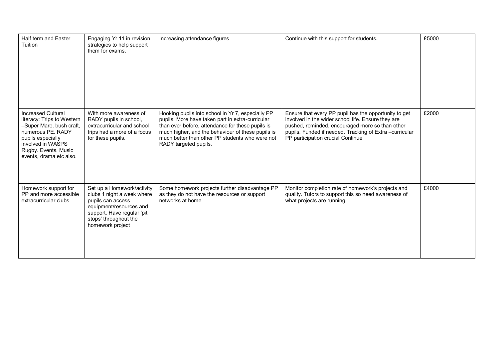| Half term and Easter<br>Tuition                                                                                                                                                                       | Engaging Yr 11 in revision<br>strategies to help support<br>them for exams.                                                                                                         | Increasing attendance figures                                                                                                                                                                                                                                                              | Continue with this support for students.                                                                                                                                                                                                                       | £5000 |
|-------------------------------------------------------------------------------------------------------------------------------------------------------------------------------------------------------|-------------------------------------------------------------------------------------------------------------------------------------------------------------------------------------|--------------------------------------------------------------------------------------------------------------------------------------------------------------------------------------------------------------------------------------------------------------------------------------------|----------------------------------------------------------------------------------------------------------------------------------------------------------------------------------------------------------------------------------------------------------------|-------|
| <b>Increased Cultural</b><br>literacy: Trips to Western<br>-Super Mare, bush craft,<br>numerous PE. RADY<br>pupils especially<br>involved in WASPS<br>Rugby. Events. Music<br>events, drama etc also. | With more awareness of<br>RADY pupils in school,<br>extracurricular and school<br>trips had a more of a focus<br>for these pupils.                                                  | Hooking pupils into school in Yr 7, especially PP<br>pupils. More have taken part in extra-curricular<br>than ever before, attendance for these pupils is<br>much higher, and the behaviour of these pupils is<br>much better than other PP students who were not<br>RADY targeted pupils. | Ensure that every PP pupil has the opportunity to get<br>involved in the wider school life. Ensure they are<br>pushed, reminded, encouraged more so than other<br>pupils. Funded if needed. Tracking of Extra -curricular<br>PP participation crucial Continue | £2000 |
| Homework support for<br>PP and more accessible<br>extracurricular clubs                                                                                                                               | Set up a Homework/activity<br>clubs 1 night a week where<br>pupils can access<br>equipment/resources and<br>support. Have regular 'pit<br>stops' throughout the<br>homework project | Some homework projects further disadvantage PP<br>as they do not have the resources or support<br>networks at home.                                                                                                                                                                        | Monitor completion rate of homework's projects and<br>quality. Tutors to support this so need awareness of<br>what projects are running                                                                                                                        | £4000 |